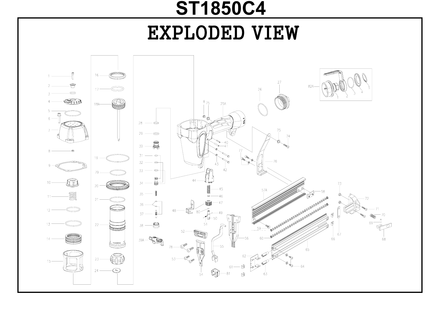## EXPLODED VIEW **ST1850C4**

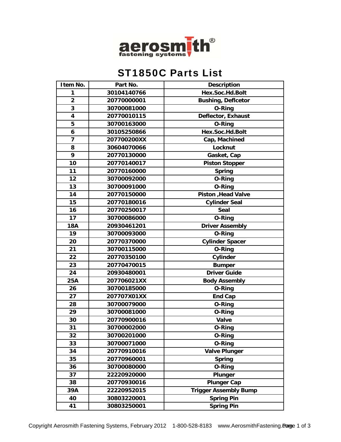

## ST1850C Parts List

|                                                              | <b>Description</b> |
|--------------------------------------------------------------|--------------------|
| Hex.Soc.Hd.Bolt<br>30104140766<br>1                          |                    |
| $\overline{2}$<br><b>Bushing, Deflcetor</b><br>20770000001   |                    |
| 3<br>30700081000<br><b>O-Ring</b>                            |                    |
| Deflector, Exhaust<br>$\overline{\mathbf{4}}$<br>20770010115 |                    |
| 5<br>30700163000<br><b>O-Ring</b>                            |                    |
| Hex.Soc.Hd.Bolt<br>6<br>30105250866                          |                    |
| $\overline{7}$<br>207700200XX<br>Cap, Machined               |                    |
| 8<br>30604070066<br>Locknut                                  |                    |
| 9<br>20770130000<br>Gasket, Cap                              |                    |
| 10<br>20770140017<br><b>Piston Stopper</b>                   |                    |
| 11<br>20770160000<br><b>Spring</b>                           |                    |
| 12<br>30700092000<br>O-Ring                                  |                    |
| 13<br>30700091000<br><b>O-Ring</b>                           |                    |
| 14<br>20770150000<br>Piston , Head Valve                     |                    |
| 15<br>20770180016<br><b>Cylinder Seal</b>                    |                    |
| 16<br>20770250017<br><b>Seal</b>                             |                    |
| 17<br>30700086000<br>O-Ring                                  |                    |
| <b>18A</b><br>20930461201<br><b>Driver Assembly</b>          |                    |
| 19<br>30700093000<br><b>O-Ring</b>                           |                    |
| 20<br>20770370000<br><b>Cylinder Spacer</b>                  |                    |
| 21<br>30700115000<br>O-Ring                                  |                    |
| 22<br>20770350100<br>Cylinder                                |                    |
| 23<br>20770470015<br><b>Bumper</b>                           |                    |
| <b>Driver Guide</b><br>24<br>20930480001                     |                    |
| 25A<br>207706021XX<br><b>Body Assembly</b>                   |                    |
| 26<br>30700185000<br><b>O-Ring</b>                           |                    |
| 27<br>207707X01XX<br><b>End Cap</b>                          |                    |
| 28<br>30700079000<br>O-Ring                                  |                    |
| 29<br>30700081000<br>O-Ring                                  |                    |
| 30<br>20770900016<br>Valve                                   |                    |
| 31<br><b>O-Ring</b><br>30700002000                           |                    |
| 32<br>30700201000<br>O-Ring                                  |                    |
| 33<br>30700071000<br><b>O-Ring</b>                           |                    |
| 34<br>20770910016<br><b>Valve Plunger</b>                    |                    |
| 35<br>20770960001<br>Spring                                  |                    |
| 36<br>30700080000<br><b>O-Ring</b>                           |                    |
| 37<br>22220920000<br><b>Plunger</b>                          |                    |
| <b>Plunger Cap</b><br>38<br>20770930016                      |                    |
| <b>Trigger Assembly Bump</b><br>39A<br>22220952015           |                    |
| <b>Spring Pin</b><br>40<br>30803220001                       |                    |
| 30803250001<br><b>Spring Pin</b><br>41                       |                    |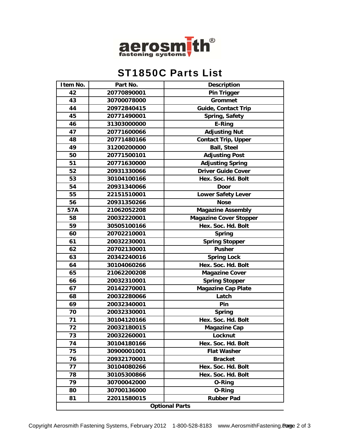

## ST1850C Parts List

| Item No.              | Part No.    | <b>Description</b>            |  |
|-----------------------|-------------|-------------------------------|--|
| 42                    | 20770890001 | <b>Pin Trigger</b>            |  |
| 43                    | 30700078000 | <b>Grommet</b>                |  |
| 44                    | 20972840415 | <b>Guide, Contact Trip</b>    |  |
| 45                    | 20771490001 | <b>Spring, Safety</b>         |  |
| 46                    | 31303000000 | E-Ring                        |  |
| 47                    | 20771600066 | <b>Adjusting Nut</b>          |  |
| 48                    | 20771480166 | <b>Contact Trip, Upper</b>    |  |
| 49                    | 31200200000 | <b>Ball, Steel</b>            |  |
| 50                    | 20771500101 | <b>Adjusting Post</b>         |  |
| 51                    | 20771630000 | <b>Adjusting Spring</b>       |  |
| 52                    | 20931330066 | <b>Driver Guide Cover</b>     |  |
| 53                    | 30104100166 | Hex. Soc. Hd. Bolt            |  |
| 54                    | 20931340066 | <b>Door</b>                   |  |
| 55                    | 22151510001 | <b>Lower Safety Lever</b>     |  |
| 56                    | 20931350266 | <b>Nose</b>                   |  |
| 57A                   | 21062052208 | <b>Magazine Assembly</b>      |  |
| 58                    | 20032220001 | <b>Magazine Cover Stopper</b> |  |
| 59                    | 30505100166 | Hex. Soc. Hd. Bolt            |  |
| 60                    | 20702210001 | <b>Spring</b>                 |  |
| 61                    | 20032230001 | <b>Spring Stopper</b>         |  |
| 62                    | 20702130001 | <b>Pusher</b>                 |  |
| 63                    | 20342240016 | <b>Spring Lock</b>            |  |
| 64                    | 30104060266 | Hex. Soc. Hd. Bolt            |  |
| 65                    | 21062200208 | <b>Magazine Cover</b>         |  |
| 66                    | 20032310001 | <b>Spring Stopper</b>         |  |
| 67                    | 20142270001 | <b>Magazine Cap Plate</b>     |  |
| 68                    | 20032280066 | Latch                         |  |
| 69                    | 20032340001 | Pin                           |  |
| 70                    | 20032330001 | <b>Spring</b>                 |  |
| 71                    | 30104120166 | Hex. Soc. Hd. Bolt            |  |
| 72                    | 20032180015 | <b>Magazine Cap</b>           |  |
| 73                    | 20032260001 | Locknut                       |  |
| 74                    | 30104180166 | Hex. Soc. Hd. Bolt            |  |
| 75                    | 30900001001 | <b>Flat Washer</b>            |  |
| 76                    | 20932170001 | <b>Bracket</b>                |  |
| 77                    | 30104080266 | Hex. Soc. Hd. Bolt            |  |
| 78                    | 30105300866 | Hex. Soc. Hd. Bolt            |  |
| 79                    | 30700042000 | O-Ring                        |  |
| 80                    | 30700136000 | <b>O-Ring</b>                 |  |
| 81                    | 22011580015 | <b>Rubber Pad</b>             |  |
| <b>Optional Parts</b> |             |                               |  |